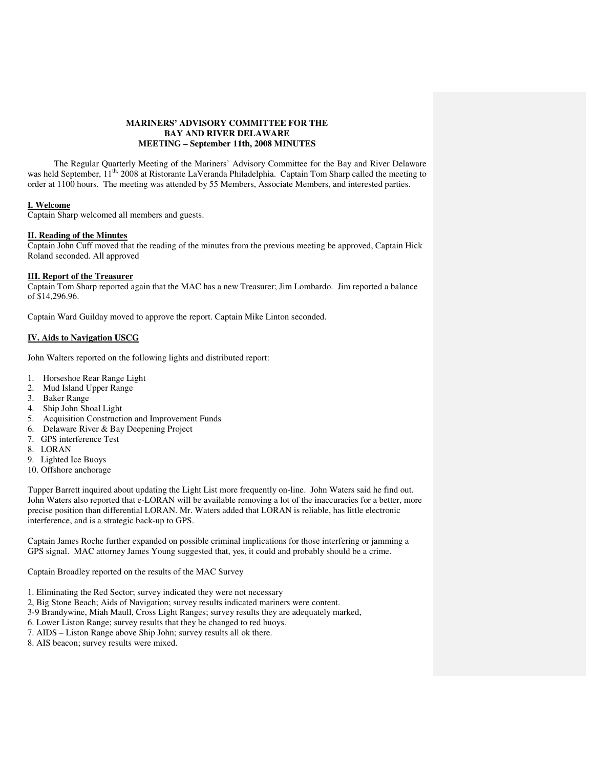# **MARINERS' ADVISORY COMMITTEE FOR THE BAY AND RIVER DELAWARE MEETING – September 11th, 2008 MINUTES**

 The Regular Quarterly Meeting of the Mariners' Advisory Committee for the Bay and River Delaware was held September, 11<sup>th,</sup> 2008 at Ristorante LaVeranda Philadelphia. Captain Tom Sharp called the meeting to order at 1100 hours. The meeting was attended by 55 Members, Associate Members, and interested parties.

### **I. Welcome**

Captain Sharp welcomed all members and guests.

# **II. Reading of the Minutes**

Captain John Cuff moved that the reading of the minutes from the previous meeting be approved, Captain Hick Roland seconded. All approved

### **III. Report of the Treasurer**

Captain Tom Sharp reported again that the MAC has a new Treasurer; Jim Lombardo. Jim reported a balance of \$14,296.96.

Captain Ward Guilday moved to approve the report. Captain Mike Linton seconded.

### **IV. Aids to Navigation USCG**

John Walters reported on the following lights and distributed report:

- 1. Horseshoe Rear Range Light
- 2. Mud Island Upper Range
- 3. Baker Range
- 4. Ship John Shoal Light
- 5. Acquisition Construction and Improvement Funds
- 6. Delaware River & Bay Deepening Project
- 7. GPS interference Test
- 8. LORAN
- 9. Lighted Ice Buoys
- 10. Offshore anchorage

Tupper Barrett inquired about updating the Light List more frequently on-line. John Waters said he find out. John Waters also reported that e-LORAN will be available removing a lot of the inaccuracies for a better, more precise position than differential LORAN. Mr. Waters added that LORAN is reliable, has little electronic interference, and is a strategic back-up to GPS.

Captain James Roche further expanded on possible criminal implications for those interfering or jamming a GPS signal. MAC attorney James Young suggested that, yes, it could and probably should be a crime.

Captain Broadley reported on the results of the MAC Survey

- 1. Eliminating the Red Sector; survey indicated they were not necessary
- 2, Big Stone Beach; Aids of Navigation; survey results indicated mariners were content.
- 3-9 Brandywine, Miah Maull, Cross Light Ranges; survey results they are adequately marked,
- 6. Lower Liston Range; survey results that they be changed to red buoys.
- 7. AIDS Liston Range above Ship John; survey results all ok there.
- 8. AIS beacon; survey results were mixed.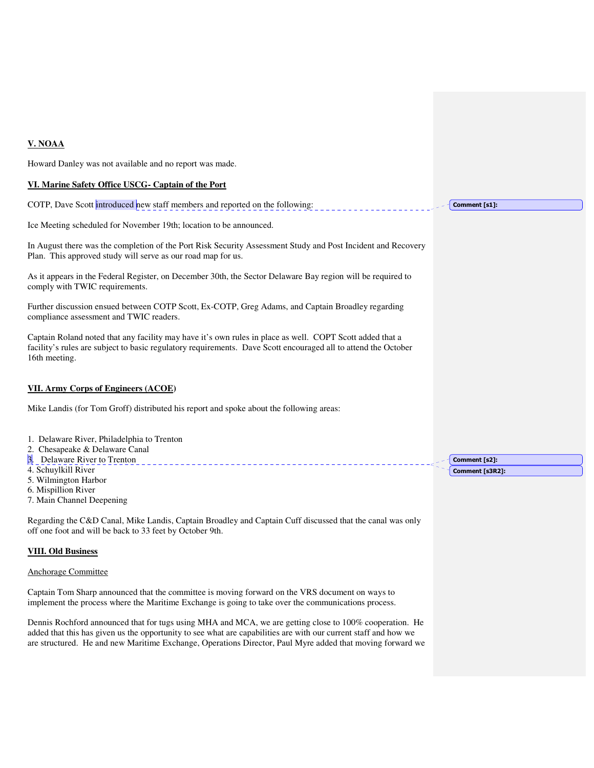# **V. NOAA**

Howard Danley was not available and no report was made.

## **VI. Marine Safety Office USCG- Captain of the Port**

COTP, Dave Scott introduced new staff members and reported on the following:

Ice Meeting scheduled for November 19th; location to be announced.

In August there was the completion of the Port Risk Security Assessment Study and Post Incident and Recovery Plan. This approved study will serve as our road map for us.

As it appears in the Federal Register, on December 30th, the Sector Delaware Bay region will be required to comply with TWIC requirements.

Further discussion ensued between COTP Scott, Ex-COTP, Greg Adams, and Captain Broadley regarding compliance assessment and TWIC readers.

Captain Roland noted that any facility may have it's own rules in place as well. COPT Scott added that a facility's rules are subject to basic regulatory requirements. Dave Scott encouraged all to attend the October 16th meeting.

## **VII. Army Corps of Engineers (ACOE)**

Mike Landis (for Tom Groff) distributed his report and spoke about the following areas:

- 1. Delaware River, Philadelphia to Trenton
- 2. Chesapeake & Delaware Canal
- 3. Delaware River to Trenton
- 4. Schuylkill River
- 5. Wilmington Harbor
- 6. Mispillion River
- 7. Main Channel Deepening

Regarding the C&D Canal, Mike Landis, Captain Broadley and Captain Cuff discussed that the canal was only off one foot and will be back to 33 feet by October 9th.

#### **VIII. Old Business**

#### Anchorage Committee

Captain Tom Sharp announced that the committee is moving forward on the VRS document on ways to implement the process where the Maritime Exchange is going to take over the communications process.

Dennis Rochford announced that for tugs using MHA and MCA, we are getting close to 100% cooperation. He added that this has given us the opportunity to see what are capabilities are with our current staff and how we are structured. He and new Maritime Exchange, Operations Director, Paul Myre added that moving forward we Comment [s2]: Comment [s3R2]:

Comment [s1]: